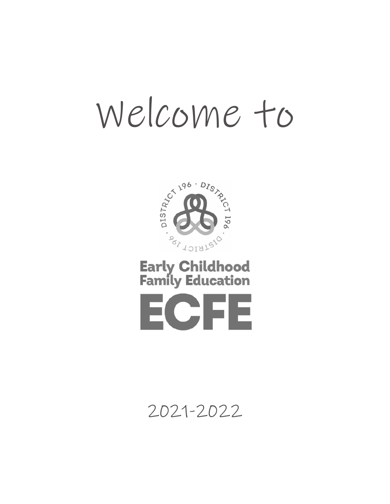# Welcome to



## **Early Childhood<br>Family Education**



## 2021-2022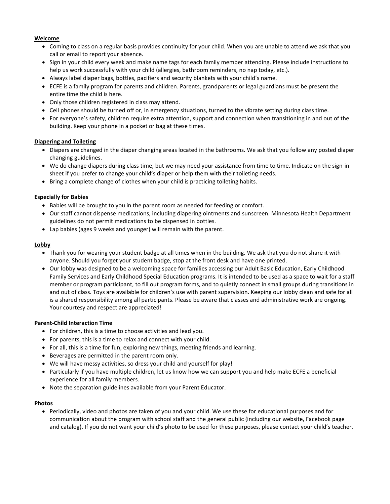#### **Welcome**

- Coming to class on a regular basis provides continuity for your child. When you are unable to attend we ask that you call or email to report your absence.
- Sign in your child every week and make name tags for each family member attending. Please include instructions to help us work successfully with your child (allergies, bathroom reminders, no nap today, etc.).
- Always label diaper bags, bottles, pacifiers and security blankets with your child's name.
- ECFE is a family program for parents and children. Parents, grandparents or legal guardians must be present the entire time the child is here.
- Only those children registered in class may attend.
- Cell phones should be turned off or, in emergency situations, turned to the vibrate setting during class time.
- For everyone's safety, children require extra attention, support and connection when transitioning in and out of the building. Keep your phone in a pocket or bag at these times.

#### **Diapering and Toileting**

- Diapers are changed in the diaper changing areas located in the bathrooms. We ask that you follow any posted diaper changing guidelines.
- We do change diapers during class time, but we may need your assistance from time to time. Indicate on the sign-in sheet if you prefer to change your child's diaper or help them with their toileting needs.
- Bring a complete change of clothes when your child is practicing toileting habits.

#### **Especially for Babies**

- Babies will be brought to you in the parent room as needed for feeding or comfort.
- Our staff cannot dispense medications, including diapering ointments and sunscreen. Minnesota Health Department guidelines do not permit medications to be dispensed in bottles.
- Lap babies (ages 9 weeks and younger) will remain with the parent.

#### **Lobby**

- Thank you for wearing your student badge at all times when in the building. We ask that you do not share it with anyone. Should you forget your student badge, stop at the front desk and have one printed.
- Our lobby was designed to be a welcoming space for families accessing our Adult Basic Education, Early Childhood Family Services and Early Childhood Special Education programs. It is intended to be used as a space to wait for a staff member or program participant, to fill out program forms, and to quietly connect in small groups during transitions in and out of class. Toys are available for children's use with parent supervision. Keeping our lobby clean and safe for all is a shared responsibility among all participants. Please be aware that classes and administrative work are ongoing. Your courtesy and respect are appreciated!

#### **Parent-Child Interaction Time**

- For children, this is a time to choose activities and lead you.
- For parents, this is a time to relax and connect with your child.
- For all, this is a time for fun, exploring new things, meeting friends and learning.
- Beverages are permitted in the parent room only.
- We will have messy activities, so dress your child and yourself for play!
- Particularly if you have multiple children, let us know how we can support you and help make ECFE a beneficial experience for all family members.
- Note the separation guidelines available from your Parent Educator.

#### **Photos**

• Periodically, video and photos are taken of you and your child. We use these for educational purposes and for communication about the program with school staff and the general public (including our website, Facebook page and catalog). If you do not want your child's photo to be used for these purposes, please contact your child's teacher.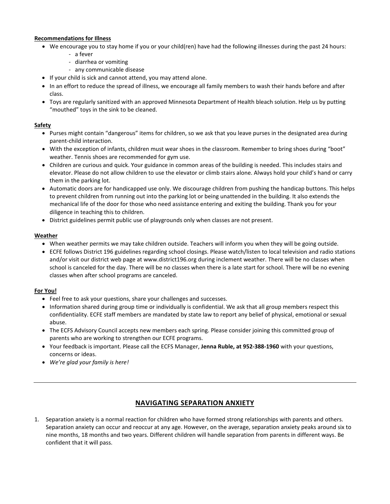#### **Recommendations for Illness**

- We encourage you to stay home if you or your child(ren) have had the following illnesses during the past 24 hours:
	- a fever
	- diarrhea or vomiting
	- any communicable disease
- If your child is sick and cannot attend, you may attend alone.
- In an effort to reduce the spread of illness, we encourage all family members to wash their hands before and after class.
- Toys are regularly sanitized with an approved Minnesota Department of Health bleach solution. Help us by putting "mouthed" toys in the sink to be cleaned.

#### **Safety**

- Purses might contain "dangerous" items for children, so we ask that you leave purses in the designated area during parent-child interaction.
- With the exception of infants, children must wear shoes in the classroom. Remember to bring shoes during "boot" weather. Tennis shoes are recommended for gym use.
- Children are curious and quick. Your guidance in common areas of the building is needed. This includes stairs and elevator. Please do not allow children to use the elevator or climb stairs alone. Always hold your child's hand or carry them in the parking lot.
- Automatic doors are for handicapped use only. We discourage children from pushing the handicap buttons. This helps to prevent children from running out into the parking lot or being unattended in the building. It also extends the mechanical life of the door for those who need assistance entering and exiting the building. Thank you for your diligence in teaching this to children.
- District guidelines permit public use of playgrounds only when classes are not present.

#### **Weather**

- When weather permits we may take children outside. Teachers will inform you when they will be going outside.
- ECFE follows District 196 guidelines regarding school closings. Please watch/listen to local television and radio stations and/or visit our district web page a[t www.district196.org](http://www.district196.org/) during inclement weather. There will be no classes when school is canceled for the day. There will be no classes when there is a late start for school. There will be no evening classes when after school programs are canceled.

#### **For You!**

- Feel free to ask your questions, share your challenges and successes.
- Information shared during group time or individually is confidential. We ask that all group members respect this confidentiality. ECFE staff members are mandated by state law to report any belief of physical, emotional or sexual abuse.
- The ECFS Advisory Council accepts new members each spring. Please consider joining this committed group of parents who are working to strengthen our ECFE programs.
- Your feedback is important. Please call the ECFS Manager, **Jenna Ruble, at 952-388-1960** with your questions, concerns or ideas.
- *We're glad your family is here!*

#### **NAVIGATING SEPARATION ANXIETY**

1. Separation anxiety is a normal reaction for children who have formed strong relationships with parents and others. Separation anxiety can occur and reoccur at any age. However, on the average, separation anxiety peaks around six to nine months, 18 months and two years. Different children will handle separation from parents in different ways. Be confident that it will pass.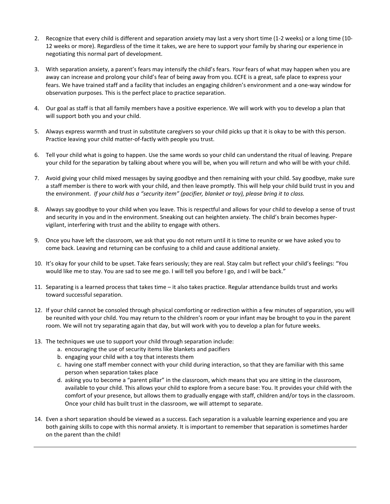- 2. Recognize that every child is different and separation anxiety may last a very short time (1-2 weeks) or a long time (10- 12 weeks or more). Regardless of the time it takes, we are here to support your family by sharing our experience in negotiating this normal part of development.
- 3. With separation anxiety, a parent's fears may intensify the child's fears. *Your* fears of what may happen when you are away can increase and prolong your child's fear of being away from you. ECFE is a great, safe place to express your fears. We have trained staff and a facility that includes an engaging children's environment and a one-way window for observation purposes. This is the perfect place to practice separation.
- 4. Our goal as staff is that all family members have a positive experience. We will work with you to develop a plan that will support both you and your child.
- 5. Always express warmth and trust in substitute caregivers so your child picks up that it is okay to be with this person. Practice leaving your child matter-of-factly with people you trust.
- 6. Tell your child what is going to happen. Use the same words so your child can understand the ritual of leaving. Prepare your child for the separation by talking about where you will be, when you will return and who will be with your child.
- 7. Avoid giving your child mixed messages by saying goodbye and then remaining with your child. Say goodbye, make sure a staff member is there to work with your child, and then leave promptly. This will help your child build trust in you and the environment. *If your child has a "security item" (pacifier, blanket or toy), please bring it to class.*
- 8. Always say goodbye to your child when you leave. This is respectful and allows for your child to develop a sense of trust and security in you and in the environment. Sneaking out can heighten anxiety. The child's brain becomes hypervigilant, interfering with trust and the ability to engage with others.
- 9. Once you have left the classroom, we ask that you do not return until it is time to reunite or we have asked you to come back. Leaving and returning can be confusing to a child and cause additional anxiety.
- 10. It's okay for your child to be upset. Take fears seriously; they are real. Stay calm but reflect your child's feelings: "You would like me to stay. You are sad to see me go. I will tell you before I go, and I will be back."
- 11. Separating is a learned process that takes time it also takes practice. Regular attendance builds trust and works toward successful separation.
- 12. If your child cannot be consoled through physical comforting or redirection within a few minutes of separation, you will be reunited with your child. You may return to the children's room or your infant may be brought to you in the parent room. We will not try separating again that day, but will work with you to develop a plan for future weeks.
- 13. The techniques we use to support your child through separation include:
	- a. encouraging the use of security items like blankets and pacifiers
	- b. engaging your child with a toy that interests them
	- c. having one staff member connect with your child during interaction, so that they are familiar with this same person when separation takes place
	- d. asking you to become a "parent pillar" in the classroom, which means that you are sitting in the classroom, available to your child. This allows your child to explore from a secure base: You. It provides your child with the comfort of your presence, but allows them to gradually engage with staff, children and/or toys in the classroom. Once your child has built trust in the classroom, we will attempt to separate.
- 14. Even a short separation should be viewed as a success. Each separation is a valuable learning experience and you are both gaining skills to cope with this normal anxiety. It is important to remember that separation is sometimes harder on the parent than the child!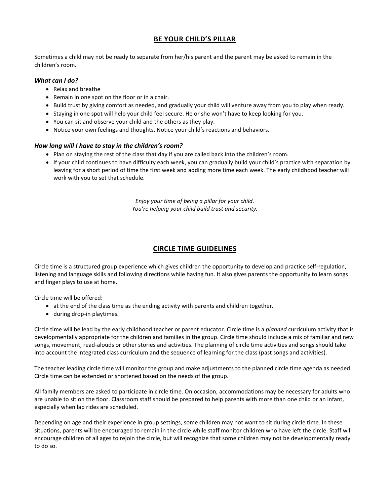#### **BE YOUR CHILD'S PILLAR**

Sometimes a child may not be ready to separate from her/his parent and the parent may be asked to remain in the children's room.

#### *What can I do?*

- Relax and breathe
- Remain in one spot on the floor or in a chair.
- Build trust by giving comfort as needed, and gradually your child will venture away from you to play when ready.
- Staying in one spot will help your child feel secure. He or she won't have to keep looking for you.
- You can sit and observe your child and the others as they play.
- Notice your own feelings and thoughts. Notice your child's reactions and behaviors.

#### *How long will I have to stay in the children's room?*

- Plan on staying the rest of the class that day if you are called back into the children's room.
- If your child continues to have difficulty each week, you can gradually build your child's practice with separation by leaving for a short period of time the first week and adding more time each week. The early childhood teacher will work with you to set that schedule.

*Enjoy your time of being a pillar for your child. You're helping your child build trust and security.*

#### **CIRCLE TIME GUIDELINES**

Circle time is a structured group experience which gives children the opportunity to develop and practice self-regulation, listening and language skills and following directions while having fun. It also gives parents the opportunity to learn songs and finger plays to use at home.

Circle time will be offered:

- at the end of the class time as the ending activity with parents and children together.
- during drop-in playtimes.

Circle time will be lead by the early childhood teacher or parent educator. Circle time is a *planned* curriculum activity that is developmentally appropriate for the children and families in the group. Circle time should include a mix of familiar and new songs, movement, read-alouds or other stories and activities. The planning of circle time activities and songs should take into account the integrated class curriculum and the sequence of learning for the class (past songs and activities).

The teacher leading circle time will monitor the group and make adjustments to the planned circle time agenda as needed. Circle time can be extended or shortened based on the needs of the group.

All family members are asked to participate in circle time. On occasion, accommodations may be necessary for adults who are unable to sit on the floor. Classroom staff should be prepared to help parents with more than one child or an infant, especially when lap rides are scheduled.

Depending on age and their experience in group settings, some children may not want to sit during circle time. In these situations, parents will be encouraged to remain in the circle while staff monitor children who have left the circle. Staff will encourage children of all ages to rejoin the circle, but will recognize that some children may not be developmentally ready to do so.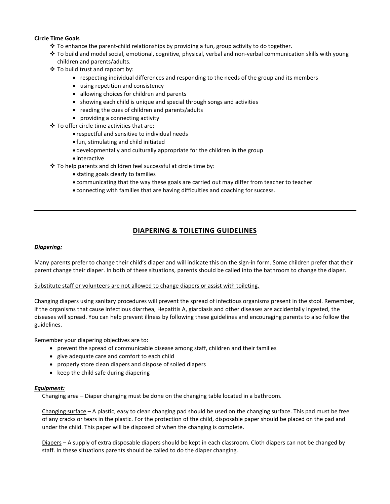#### **Circle Time Goals**

- $\div$  To enhance the parent-child relationships by providing a fun, group activity to do together.
- To build and model social, emotional, cognitive, physical, verbal and non-verbal communication skills with young children and parents/adults.
- To build trust and rapport by:
	- respecting individual differences and responding to the needs of the group and its members
	- using repetition and consistency
	- allowing choices for children and parents
	- showing each child is unique and special through songs and activities
	- reading the cues of children and parents/adults
	- providing a connecting activity
- To offer circle time activities that are:
	- respectful and sensitive to individual needs
	- fun, stimulating and child initiated
	- developmentally and culturally appropriate for the children in the group
	- interactive
- To help parents and children feel successful at circle time by:
	- stating goals clearly to families
	- communicating that the way these goals are carried out may differ from teacher to teacher
	- connecting with families that are having difficulties and coaching for success.

#### **DIAPERING & TOILETING GUIDELINES**

#### *Diapering:*

Many parents prefer to change their child's diaper and will indicate this on the sign-in form. Some children prefer that their parent change their diaper. In both of these situations, parents should be called into the bathroom to change the diaper.

#### Substitute staff or volunteers are not allowed to change diapers or assist with toileting.

Changing diapers using sanitary procedures will prevent the spread of infectious organisms present in the stool. Remember, if the organisms that cause infectious diarrhea, Hepatitis A, giardiasis and other diseases are accidentally ingested, the diseases will spread. You can help prevent illness by following these guidelines and encouraging parents to also follow the guidelines.

Remember your diapering objectives are to:

- prevent the spread of communicable disease among staff, children and their families
- give adequate care and comfort to each child
- properly store clean diapers and dispose of soiled diapers
- keep the child safe during diapering

#### *Equipment:*

Changing area – Diaper changing must be done on the changing table located in a bathroom.

Changing surface – A plastic, easy to clean changing pad should be used on the changing surface. This pad must be free of any cracks or tears in the plastic. For the protection of the child, disposable paper should be placed on the pad and under the child. This paper will be disposed of when the changing is complete.

Diapers – A supply of extra disposable diapers should be kept in each classroom. Cloth diapers can not be changed by staff. In these situations parents should be called to do the diaper changing.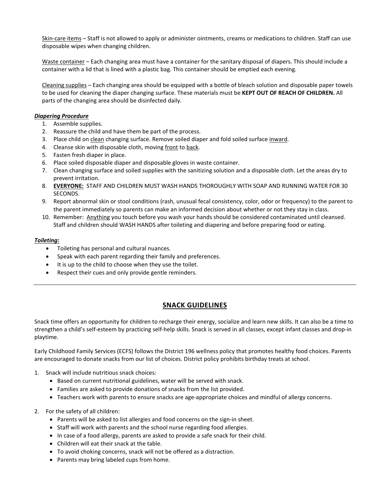Skin-care items - Staff is not allowed to apply or administer ointments, creams or medications to children. Staff can use disposable wipes when changing children.

Waste container – Each changing area must have a container for the sanitary disposal of diapers. This should include a container with a lid that is lined with a plastic bag. This container should be emptied each evening.

Cleaning supplies – Each changing area should be equipped with a bottle of bleach solution and disposable paper towels to be used for cleaning the diaper changing surface. These materials must be **KEPT OUT OF REACH OF CHILDREN.** All parts of the changing area should be disinfected daily.

#### *Diapering Procedure*

- 1. Assemble supplies.
- 2. Reassure the child and have them be part of the process.
- 3. Place child on clean changing surface. Remove soiled diaper and fold soiled surface inward.
- 4. Cleanse skin with disposable cloth, moving front to back.
- 5. Fasten fresh diaper in place.
- 6. Place soiled disposable diaper and disposable gloves in waste container.
- 7. Clean changing surface and soiled supplies with the sanitizing solution and a disposable cloth. Let the areas dry to prevent irritation.
- 8. **EVERYONE:** STAFF AND CHILDREN MUST WASH HANDS THOROUGHLY WITH SOAP AND RUNNING WATER FOR 30 SECONDS.
- 9. Report abnormal skin or stool conditions (rash, unusual fecal consistency, color, odor or frequency) to the parent to the parent immediately so parents can make an informed decision about whether or not they stay in class.
- 10. Remember: Anything you touch before you wash your hands should be considered contaminated until cleansed. Staff and children should WASH HANDS after toileting and diapering and before preparing food or eating.

#### *Toileting:*

- Toileting has personal and cultural nuances.
- Speak with each parent regarding their family and preferences.
- It is up to the child to choose when they use the toilet.
- Respect their cues and only provide gentle reminders.

#### **SNACK GUIDELINES**

Snack time offers an opportunity for children to recharge their energy, socialize and learn new skills. It can also be a time to strengthen a child's self-esteem by practicing self-help skills. Snack is served in all classes, except infant classes and drop-in playtime.

Early Childhood Family Services (ECFS) follows the District 196 wellness policy that promotes healthy food choices. Parents are encouraged to donate snacks from our list of choices. District policy prohibits birthday treats at school.

- 1. Snack will include nutritious snack choices:
	- Based on current nutritional guidelines, water will be served with snack.
	- Families are asked to provide donations of snacks from the list provided.
	- Teachers work with parents to ensure snacks are age-appropriate choices and mindful of allergy concerns.
- 2. For the safety of all children:
	- Parents will be asked to list allergies and food concerns on the sign-in sheet.
	- Staff will work with parents and the school nurse regarding food allergies.
	- In case of a food allergy, parents are asked to provide a safe snack for their child.
	- Children will eat their snack at the table.
	- To avoid choking concerns, snack will not be offered as a distraction.
	- Parents may bring labeled cups from home.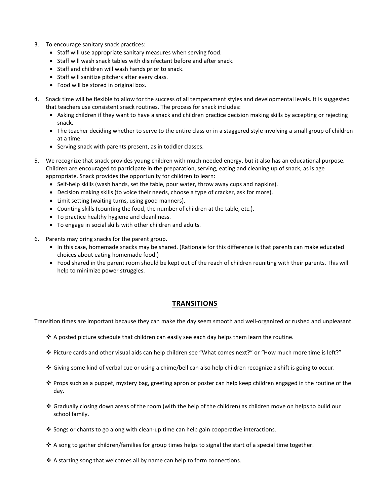- 3. To encourage sanitary snack practices:
	- Staff will use appropriate sanitary measures when serving food.
	- Staff will wash snack tables with disinfectant before and after snack.
	- Staff and children will wash hands prior to snack.
	- Staff will sanitize pitchers after every class.
	- Food will be stored in original box.
- 4. Snack time will be flexible to allow for the success of all temperament styles and developmental levels. It is suggested that teachers use consistent snack routines. The process for snack includes:
	- Asking children if they want to have a snack and children practice decision making skills by accepting or rejecting snack.
	- The teacher deciding whether to serve to the entire class or in a staggered style involving a small group of children at a time.
	- Serving snack with parents present, as in toddler classes.
- 5. We recognize that snack provides young children with much needed energy, but it also has an educational purpose. Children are encouraged to participate in the preparation, serving, eating and cleaning up of snack, as is age appropriate. Snack provides the opportunity for children to learn:
	- Self-help skills (wash hands, set the table, pour water, throw away cups and napkins).
	- Decision making skills (to voice their needs, choose a type of cracker, ask for more).
	- Limit setting (waiting turns, using good manners).
	- Counting skills (counting the food, the number of children at the table, etc.).
	- To practice healthy hygiene and cleanliness.
	- To engage in social skills with other children and adults.
- 6. Parents may bring snacks for the parent group.
	- In this case, homemade snacks may be shared. (Rationale for this difference is that parents can make educated choices about eating homemade food.)
	- Food shared in the parent room should be kept out of the reach of children reuniting with their parents. This will help to minimize power struggles.

#### **TRANSITIONS**

Transition times are important because they can make the day seem smooth and well-organized or rushed and unpleasant.

- $\clubsuit$  A posted picture schedule that children can easily see each day helps them learn the routine.
- Picture cards and other visual aids can help children see "What comes next?" or "How much more time is left?"
- Giving some kind of verbal cue or using a chime/bell can also help children recognize a shift is going to occur.
- Props such as a puppet, mystery bag, greeting apron or poster can help keep children engaged in the routine of the day.
- Gradually closing down areas of the room (with the help of the children) as children move on helps to build our school family.
- ❖ Songs or chants to go along with clean-up time can help gain cooperative interactions.
- $\cdot$  A song to gather children/families for group times helps to signal the start of a special time together.
- $\cdot$  A starting song that welcomes all by name can help to form connections.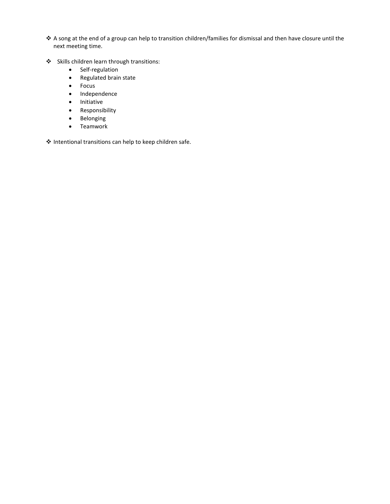- A song at the end of a group can help to transition children/families for dismissal and then have closure until the next meeting time.
- Skills children learn through transitions:
	- Self-regulation
	- Regulated brain state
	- Focus
	- Independence
	- Initiative
	- Responsibility
	- Belonging
	- Teamwork

Intentional transitions can help to keep children safe.